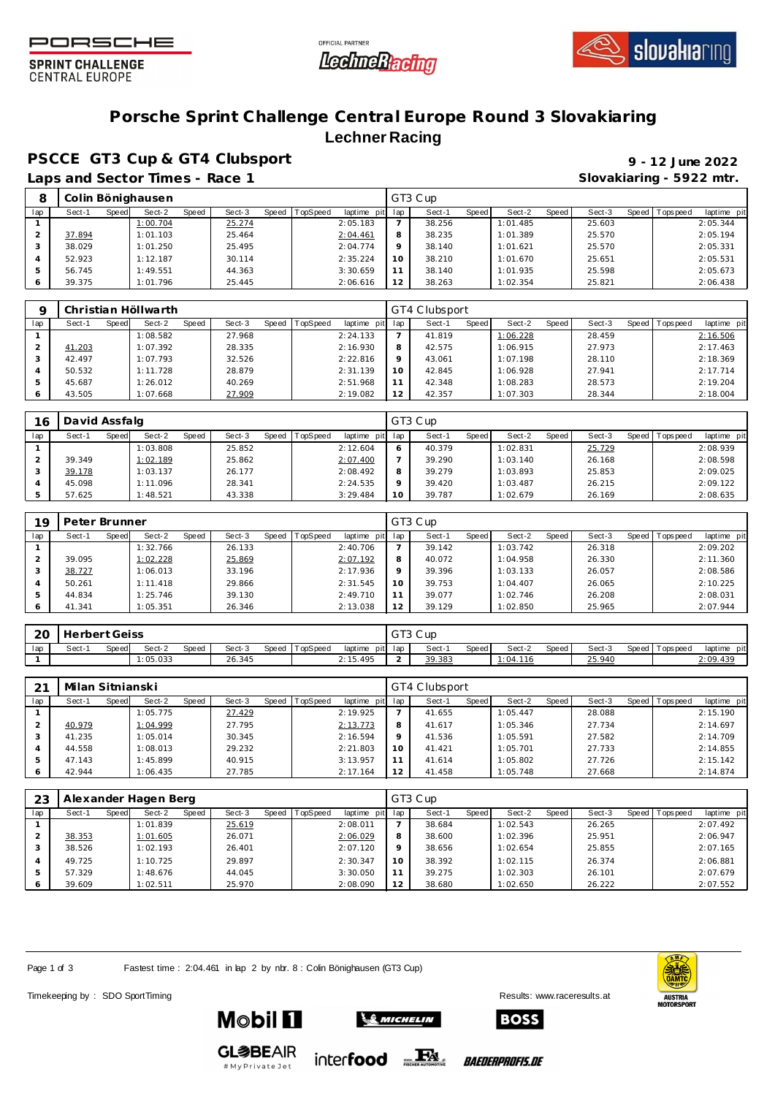





**SPRINT CHALLENGE CENTRAL EUROPE** 

## **Porsche Sprint Challenge Central Europe Round 3 Slovakiaring Lechner Racing**

**PSCCE GT3 Cup & GT4 Clubsport 9 - 12 June 2022**

Laps and Sector Times - Race 1 **Slovakiaring - 5922 mtr. Slovakiaring - 5922 mtr.** 

| 8   |        |       | Colin Bönighausen |       |        |       |         |             |          | GT3 Cup |        |          |       |        |       |            |            |
|-----|--------|-------|-------------------|-------|--------|-------|---------|-------------|----------|---------|--------|----------|-------|--------|-------|------------|------------|
| lap | Sect-1 | Speed | Sect-2            | Speed | Sect-3 | Speed | opSpeed | laptime pit | lap      | Sect-1  | Speed! | Sect-2   | Speed | Sect-3 | Speed | Tops pee d | laptime pi |
|     |        |       | 1:00.704          |       | 25.274 |       |         | 2:05.183    |          | 38.256  |        | 1:01.485 |       | 25.603 |       |            | 2:05.344   |
|     | 37.894 |       | 1:01.103          |       | 25.464 |       |         | 2:04.461    | 8        | 38.235  |        | 1:01.389 |       | 25.570 |       |            | 2:05.194   |
|     | 38.029 |       | 1:01.250          |       | 25.495 |       |         | 2:04.774    |          | 38.140  |        | 1:01.621 |       | 25.570 |       |            | 2:05.331   |
|     | 52.923 |       | 1:12.187          |       | 30.114 |       |         | 2:35.224    | $10^{-}$ | 38.210  |        | 1:01.670 |       | 25.651 |       |            | 2:05.531   |
|     | 56.745 |       | 1:49.551          |       | 44.363 |       |         | 3:30.659    |          | 38.140  |        | 1:01.935 |       | 25.598 |       |            | 2:05.673   |
|     | 39.375 |       | 1:01.796          |       | 25.445 |       |         | 2:06.616    | $\sim$   | 38.263  |        | 1:02.354 |       | 25.821 |       |            | 2:06.438   |

|     |        |       | Christian Höllwarth |       |        |       |          |             |                 | GT4 Clubsport |       |          |       |        |       |           |             |
|-----|--------|-------|---------------------|-------|--------|-------|----------|-------------|-----------------|---------------|-------|----------|-------|--------|-------|-----------|-------------|
| lap | Sect-1 | Speed | Sect-2              | Speed | Sect-3 | Speed | TopSpeed | laptime pit | lap             | Sect-1        | Speed | Sect-2   | Speed | Sect-3 | Speed | Tops peed | laptime pit |
|     |        |       | 1:08.582            |       | 27.968 |       |          | 2:24.133    |                 | 41.819        |       | 1:06.228 |       | 28.459 |       |           | 2:16.506    |
|     | 41.203 |       | 1:07.392            |       | 28.335 |       |          | 2:16.930    | 8               | 42.575        |       | 1:06.915 |       | 27.973 |       |           | 2:17.463    |
|     | 42.497 |       | 1:07.793            |       | 32.526 |       |          | 2:22.816    | $\mathsf Q$     | 43.061        |       | 1:07.198 |       | 28.110 |       |           | 2:18.369    |
| 4   | 50.532 |       | 1:11.728            |       | 28.879 |       |          | 2:31.139    | 10 <sup>°</sup> | 42.845        |       | 1:06.928 |       | 27.941 |       |           | 2:17.714    |
| 5   | 45.687 |       | 1:26.012            |       | 40.269 |       |          | 2:51.968    | 11              | 42.348        |       | 1:08.283 |       | 28.573 |       |           | 2:19.204    |
| 6   | 43.505 |       | 1:07.668            |       | 27.909 |       |          | 2:19.082    | 12              | 42.357        |       | 1:07.303 |       | 28.344 |       |           | 2:18.004    |

| 16  | David Assfalg |       |          |       |        |       |                 |             |     | GT3 Cup |       |          |       |        |       |          |             |
|-----|---------------|-------|----------|-------|--------|-------|-----------------|-------------|-----|---------|-------|----------|-------|--------|-------|----------|-------------|
| lap | Sect-1        | Speed | Sect-2   | Speed | Sect-3 | Speed | <b>TopSpeed</b> | laptime pit | lap | Sect-1  | Speed | Sect-2   | Speed | Sect-3 | Speed | Topspeed | laptime pit |
|     |               |       | 1:03.808 |       | 25.852 |       |                 | 2:12.604    |     | 40.379  |       | 1:02.831 |       | 25.729 |       |          | 2:08.939    |
|     | 39.349        |       | 1:02.189 |       | 25.862 |       |                 | 2:07.400    |     | 39.290  |       | 1:03.140 |       | 26.168 |       |          | 2:08.598    |
|     | 39.178        |       | 1:03.137 |       | 26.177 |       |                 | 2:08.492    | 8   | 39.279  |       | 1:03.893 |       | 25.853 |       |          | 2:09.025    |
|     | 45.098        |       | 1:11.096 |       | 28.341 |       |                 | 2:24.535    |     | 39.420  |       | 1:03.487 |       | 26.215 |       |          | 2:09.122    |
|     | 57.625        |       | 1:48.521 |       | 43.338 |       |                 | 3:29.484    | 10  | 39.787  |       | 1:02.679 |       | 26.169 |       |          | 2:08.635    |

| 19  | Peter Brunner |       |          |              |        |       |                 |             |              | GT3 Cup |              |          |       |        |         |           |             |
|-----|---------------|-------|----------|--------------|--------|-------|-----------------|-------------|--------------|---------|--------------|----------|-------|--------|---------|-----------|-------------|
| lap | Sect-1        | Speed | Sect-2   | <b>Speed</b> | Sect-3 | Speed | <b>TopSpeed</b> | laptime pit | lap          | Sect-1  | <b>Speed</b> | Sect-2   | Speed | Sect-3 | Speed I | Tops peed | laptime pit |
|     |               |       | 1:32.766 |              | 26.133 |       |                 | 2:40.706    |              | 39.142  |              | 1:03.742 |       | 26.318 |         |           | 2:09.202    |
|     | 39.095        |       | 1:02.228 |              | 25.869 |       |                 | 2:07.192    | $\circ$<br>Õ | 40.072  |              | 1:04.958 |       | 26.330 |         |           | 2:11.360    |
| 3   | 38.727        |       | 1:06.013 |              | 33.196 |       |                 | 2:17.936    | $\Omega$     | 39.396  |              | 1:03.133 |       | 26.057 |         |           | 2:08.586    |
|     | 50.261        |       | 1:11.418 |              | 29.866 |       |                 | 2:31.545    | 10           | 39.753  |              | 1:04.407 |       | 26.065 |         |           | 2:10.225    |
| .5  | 44.834        |       | 1:25.746 |              | 39.130 |       |                 | 2:49.710    |              | 39.077  |              | 1:02.746 |       | 26.208 |         |           | 2:08.031    |
| O   | 41.341        |       | 1:05.351 |              | 26.346 |       |                 | 2:13.038    | 12           | 39.129  |              | 1:02.850 |       | 25.965 |         |           | 2:07.944    |

| 20  | <b>Herbert Geiss</b> |       |          |       |        |       |          |          |         | GT3 Cup |       |                 |       |        |                 |                |
|-----|----------------------|-------|----------|-------|--------|-------|----------|----------|---------|---------|-------|-----------------|-------|--------|-----------------|----------------|
| lap | Sect-1               | Speed | Sect-2   | Speed | Sect-3 | Speed | TopSpeed | laptime  | pit lap | Sect-   | Speed | Sect-2          | Speed | Sect-3 | Speed Tops peed | laptime<br>pit |
|     |                      |       | 1:05.033 |       | 26.345 |       |          | 2:15.495 |         | 39.383  |       | <u>1:04.116</u> |       | 25.940 |                 | 2:09.439       |

| 21  | Milan Sitnianski |        |          |       |        |       |          |             |         | GT4 Clubsport |              |          |         |        |                 |             |
|-----|------------------|--------|----------|-------|--------|-------|----------|-------------|---------|---------------|--------------|----------|---------|--------|-----------------|-------------|
| lap | Sect-1           | Speed! | Sect-2   | Speed | Sect-3 | Speed | TopSpeed | laptime pit | lap     | Sect-1        | <b>Speed</b> | Sect-2   | Speed ' | Sect-3 | Speed Tops peed | laptime pit |
|     |                  |        | 1:05.775 |       | 27.429 |       |          | 2:19.925    |         | 41.655        |              | 1:05.447 |         | 28.088 |                 | 2:15.190    |
|     | 40.979           |        | 1:04.999 |       | 27.795 |       |          | 2:13.773    | 8       | 41.617        |              | 1:05.346 |         | 27.734 |                 | 2:14.697    |
|     | 41.235           |        | 1:05.014 |       | 30.345 |       |          | 2:16.594    | $\circ$ | 41.536        |              | 1:05.591 |         | 27.582 |                 | 2:14.709    |
|     | 44.558           |        | 1:08.013 |       | 29.232 |       |          | 2:21.803    | 10      | 41.421        |              | 1:05.701 |         | 27.733 |                 | 2:14.855    |
|     | 47.143           |        | 1:45.899 |       | 40.915 |       |          | 3:13.957    |         | 41.614        |              | 1:05.802 |         | 27.726 |                 | 2:15.142    |
|     | 42.944           |        | 1:06.435 |       | 27.785 |       |          | 2:17.164    | 12      | 41.458        |              | 1:05.748 |         | 27.668 |                 | 2:14.874    |

| 23  |        |       | Alexander Hagen Berg |       |        |       |                 |             |         | GT3 Cup |       |          |       |        |                 |             |
|-----|--------|-------|----------------------|-------|--------|-------|-----------------|-------------|---------|---------|-------|----------|-------|--------|-----------------|-------------|
| lap | Sect-1 | Speed | Sect-2               | Speed | Sect-3 | Speed | <b>TopSpeed</b> | laptime pit | lap     | Sect-1  | Speed | Sect-2   | Speed | Sect-3 | Speed Tops peed | laptime pit |
|     |        |       | 1:01.839             |       | 25.619 |       |                 | 2:08.011    |         | 38.684  |       | 1:02.543 |       | 26.265 |                 | 2:07.492    |
|     | 38.353 |       | 1:01.605             |       | 26.071 |       |                 | 2:06.029    | 8       | 38.600  |       | 1:02.396 |       | 25.951 |                 | 2:06.947    |
| 3   | 38.526 |       | 1:02.193             |       | 26.401 |       |                 | 2:07.120    | $\circ$ | 38.656  |       | 1:02.654 |       | 25.855 |                 | 2:07.165    |
|     | 49.725 |       | 1:10.725             |       | 29.897 |       |                 | 2:30.347    | 10      | 38.392  |       | 1:02.115 |       | 26.374 |                 | 2:06.881    |
| ь   | 57.329 |       | 1:48.676             |       | 44.045 |       |                 | 3:30.050    | 11      | 39.275  |       | 1:02.303 |       | 26.101 |                 | 2:07.679    |
| O   | 39.609 |       | 1:02.511             |       | 25.970 |       |                 | 2:08.090    | 12      | 38.680  |       | 1:02.650 |       | 26.222 |                 | 2:07.552    |

Page 1 of 3 Fastest time : 2:04.461 in lap 2 by nbr. 8 : Colin Bönighausen (GT3 Cup)

Timekeeping by : SDO SportTiming Results: [www.raceresults.a](www.raceresults.at)t

**SO MICHELIN** 





**BOSS** 



**Mobil 11** 



*BAEDERPROFIS.DE*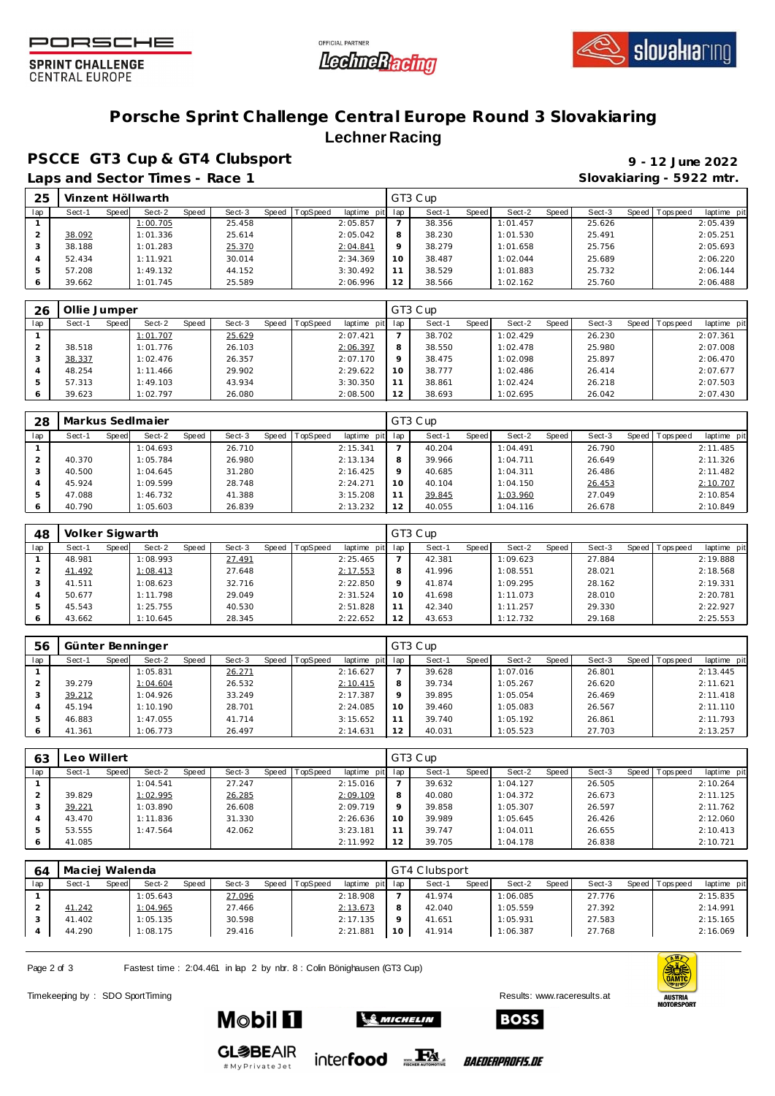





**SPRINT CHALLENGE CENTRAL EUROPE** 

## **Porsche Sprint Challenge Central Europe Round 3 Slovakiaring Lechner Racing**

**PSCCE GT3 Cup & GT4 Clubsport 9 - 12 June 2022**

Laps and Sector Times - Race 1 **Slovakiaring - 5922 mtr. Slovakiaring - 5922 mtr.** 

| 25  |        |       | Vinzent Höllwarth |       |        |       |          |                 |     | GT3 Cup |       |          |       |        |                 |             |
|-----|--------|-------|-------------------|-------|--------|-------|----------|-----------------|-----|---------|-------|----------|-------|--------|-----------------|-------------|
| lap | Sect-1 | Speed | Sect-2            | Speed | Sect-3 | Speed | TopSpeed | laptime<br>pitl | lap | Sect-1  | Speed | Sect-2   | Speed | Sect-3 | Speed Tops peed | laptime pit |
|     |        |       | 1:00.705          |       | 25.458 |       |          | 2:05.857        |     | 38.356  |       | 1:01.457 |       | 25.626 |                 | 2:05.439    |
|     | 38.092 |       | 1:01.336          |       | 25.614 |       |          | 2:05.042        | 8   | 38.230  |       | 1:01.530 |       | 25.491 |                 | 2:05.251    |
|     | 38.188 |       | 1:01.283          |       | 25.370 |       |          | 2:04.841        |     | 38.279  |       | 1:01.658 |       | 25.756 |                 | 2:05.693    |
|     | 52.434 |       | 1:11.921          |       | 30.014 |       |          | 2:34.369        | 10  | 38.487  |       | 1:02.044 |       | 25.689 |                 | 2:06.220    |
|     | 57.208 |       | 1:49.132          |       | 44.152 |       |          | 3:30.492        |     | 38.529  |       | 1:01.883 |       | 25.732 |                 | 2:06.144    |
|     | 39.662 |       | 1:01.745          |       | 25.589 |       |          | 2:06.996        |     | 38.566  |       | 1:02.162 |       | 25.760 |                 | 2:06.488    |

| 26  | Ollie Jumper    |                 |        |                               |         | GT3 Cup                |                 |        |                               |
|-----|-----------------|-----------------|--------|-------------------------------|---------|------------------------|-----------------|--------|-------------------------------|
| lap | Sect-1<br>Speed | Sect-2<br>Speed | Sect-3 | Speed TopSpeed<br>laptime pit | lap     | Sect-1<br><b>Speed</b> | Speed<br>Sect-2 | Sect-3 | Speed Topspeed<br>laptime pit |
|     |                 | 1:01.707        | 25.629 | 2:07.421                      |         | 38.702                 | 1:02.429        | 26.230 | 2:07.361                      |
|     | 38.518          | 1:01.776        | 26.103 | 2:06.397                      | 8       | 38.550                 | 1:02.478        | 25.980 | 2:07.008                      |
|     | 38.337          | 1:02.476        | 26.357 | 2:07.170                      | $\circ$ | 38.475                 | 1:02.098        | 25.897 | 2:06.470                      |
| 4   | 48.254          | 1:11.466        | 29.902 | 2:29.622                      | 10      | 38.777                 | 1:02.486        | 26.414 | 2:07.677                      |
| 5   | 57.313          | 1:49.103        | 43.934 | 3:30.350                      | 11      | 38.861                 | 1:02.424        | 26.218 | 2:07.503                      |
| 6   | 39.623          | 1:02.797        | 26.080 | 2:08.500                      | 12      | 38.693                 | 1:02.695        | 26.042 | 2:07.430                      |

| 28  |        |       | Markus SedImajer |       |        |       |                 |             |     | GT3 Cup |       |          |         |        |                 |             |
|-----|--------|-------|------------------|-------|--------|-------|-----------------|-------------|-----|---------|-------|----------|---------|--------|-----------------|-------------|
| lap | Sect-1 | Speed | Sect-2           | Speed | Sect-3 | Speed | <b>TopSpeed</b> | laptime pit | lap | Sect-1  | Speed | Sect-2   | Speed I | Sect-3 | Speed Tops peed | laptime pit |
|     |        |       | 1:04.693         |       | 26.710 |       |                 | 2:15.341    |     | 40.204  |       | 1:04.491 |         | 26.790 |                 | 2:11.485    |
|     | 40.370 |       | 1:05.784         |       | 26.980 |       |                 | 2:13.134    | 8   | 39.966  |       | 1:04.711 |         | 26.649 |                 | 2:11.326    |
|     | 40.500 |       | 1:04.645         |       | 31.280 |       |                 | 2:16.425    |     | 40.685  |       | 1:04.311 |         | 26.486 |                 | 2:11.482    |
|     | 45.924 |       | 1:09.599         |       | 28.748 |       |                 | 2:24.271    |     | 40.104  |       | 1:04.150 |         | 26.453 |                 | 2:10.707    |
|     | 47.088 |       | 1:46.732         |       | 41.388 |       |                 | 3:15.208    | 11  | 39.845  |       | 1:03.960 |         | 27.049 |                 | 2:10.854    |
|     | 40.790 |       | 1:05.603         |       | 26.839 |       |                 | 2:13.232    | 12  | 40.055  |       | 1:04.116 |         | 26.678 |                 | 2:10.849    |

| 48  | Volker Sigwarth |       |          |       |        |       |                 |             |     | GT3 Cup |              |          |       |        |                 |             |
|-----|-----------------|-------|----------|-------|--------|-------|-----------------|-------------|-----|---------|--------------|----------|-------|--------|-----------------|-------------|
| lap | Sect-1          | Speed | Sect-2   | Speed | Sect-3 | Speed | <b>TopSpeed</b> | laptime pit | lap | Sect-1  | <b>Speed</b> | Sect-2   | Speed | Sect-3 | Speed Tops peed | laptime pit |
|     | 48.981          |       | 1:08.993 |       | 27.491 |       |                 | 2:25.465    |     | 42.381  |              | 1:09.623 |       | 27.884 |                 | 2:19.888    |
|     | 41.492          |       | 1:08.413 |       | 27.648 |       |                 | 2:17.553    | 8   | 41.996  |              | 1:08.551 |       | 28.021 |                 | 2:18.568    |
|     | 41.511          |       | 1:08.623 |       | 32.716 |       |                 | 2:22.850    | O   | 41.874  |              | 1:09.295 |       | 28.162 |                 | 2:19.331    |
|     | 50.677          |       | 1:11.798 |       | 29.049 |       |                 | 2:31.524    | 10  | 41.698  |              | 1:11.073 |       | 28.010 |                 | 2:20.781    |
|     | 45.543          |       | 1:25.755 |       | 40.530 |       |                 | 2:51.828    |     | 42.340  |              | 1:11.257 |       | 29.330 |                 | 2:22.927    |
| O   | 43.662          |       | 1:10.645 |       | 28.345 |       |                 | 2:22.652    | 12  | 43.653  |              | 1:12.732 |       | 29.168 |                 | 2:25.553    |

| 56  | Günter Benninger |       |          |       |        |                |             |         | GT3 Cup |       |          |       |        |                |             |
|-----|------------------|-------|----------|-------|--------|----------------|-------------|---------|---------|-------|----------|-------|--------|----------------|-------------|
| lap | Sect-1           | Speed | Sect-2   | Speed | Sect-3 | Speed TopSpeed | laptime pit | lap     | Sect-1  | Speed | Sect-2   | Speed | Sect-3 | Speed Topspeed | laptime pit |
|     |                  |       | 1:05.831 |       | 26.271 |                | 2:16.627    |         | 39.628  |       | 1:07.016 |       | 26.801 |                | 2:13.445    |
|     | 39.279           |       | 1:04.604 |       | 26.532 |                | 2:10.415    | 8       | 39.734  |       | 1:05.267 |       | 26.620 |                | 2:11.621    |
|     | 39.212           |       | 1:04.926 |       | 33.249 |                | 2:17.387    | $\circ$ | 39.895  |       | 1:05.054 |       | 26.469 |                | 2:11.418    |
|     | 45.194           |       | 1:10.190 |       | 28.701 |                | 2:24.085    | 10      | 39.460  |       | 1:05.083 |       | 26.567 |                | 2:11.110    |
|     | 46.883           |       | 1:47.055 |       | 41.714 |                | 3:15.652    | 11      | 39.740  |       | 1:05.192 |       | 26.861 |                | 2:11.793    |
|     | 41.361           |       | 1:06.773 |       | 26.497 |                | 2:14.631    | 12      | 40.031  |       | 1:05.523 |       | 27.703 |                | 2:13.257    |

| 63  | Leo Willert |       |          |       |        |                |             | GT3 Cup |        |       |          |       |        |  |                 |             |  |  |
|-----|-------------|-------|----------|-------|--------|----------------|-------------|---------|--------|-------|----------|-------|--------|--|-----------------|-------------|--|--|
| lap | Sect-1      | Speed | Sect-2   | Speed | Sect-3 | Speed TopSpeed | laptime pit | lap     | Sect-1 | Speed | Sect-2   | Speed | Sect-3 |  | Speed Tops peed | laptime pit |  |  |
|     |             |       | 1:04.541 |       | 27.247 |                | 2:15.016    |         | 39.632 |       | 1:04.127 |       | 26.505 |  |                 | 2:10.264    |  |  |
|     | 39.829      |       | 1:02.995 |       | 26.285 |                | 2:09.109    | 8       | 40.080 |       | 1:04.372 |       | 26.673 |  |                 | 2:11.125    |  |  |
| 3   | 39.221      |       | 1:03.890 |       | 26.608 |                | 2:09.719    | $\circ$ | 39.858 |       | 1:05.307 |       | 26.597 |  |                 | 2:11.762    |  |  |
|     | 43.470      |       | 1:11.836 |       | 31.330 |                | 2:26.636    | 10      | 39.989 |       | 1:05.645 |       | 26.426 |  |                 | 2:12.060    |  |  |
| 5   | 53.555      |       | 1:47.564 |       | 42.062 |                | 3:23.181    | 11      | 39.747 |       | 1:04.011 |       | 26.655 |  |                 | 2:10.413    |  |  |
|     | 41.085      |       |          |       |        |                | 2:11.992    | 12      | 39.705 |       | 1:04.178 |       | 26.838 |  |                 | 2:10.721    |  |  |

| 64  | Maciej Walenda |       |          |       |        |                |             | GT4 Clubsport |        |       |          |       |        |         |            |             |  |
|-----|----------------|-------|----------|-------|--------|----------------|-------------|---------------|--------|-------|----------|-------|--------|---------|------------|-------------|--|
| lap | Sect-1         | Speed | Sect-2   | Speed | Sect-3 | Speed TopSpeed | laptime pit | lap           | Sect-1 | Speed | Sect-2   | Speed | Sect-3 | Speed I | T ops peed | laptime pit |  |
|     |                |       | 1:05.643 |       | 27.096 |                | 2:18.908    |               | 41.974 |       | 1:06.085 |       | 27.776 |         |            | 2:15.835    |  |
|     | 41.242         |       | 1:04.965 |       | 27.466 |                | 2:13.673    | 8             | 42.040 |       | 1:05.559 |       | 27.392 |         |            | 2:14.991    |  |
|     | 41.402         |       | 1:05.135 |       | 30.598 |                | 2:17.135    | o             | 41.651 |       | 1:05.931 |       | 27.583 |         |            | 2:15.165    |  |
|     | 44.290         |       | 1:08.175 |       | 29.416 |                | 2:21.881    | 10            | 41.914 |       | 1:06.387 |       | 27.768 |         |            | 2:16.069    |  |

**SO MICHELIN** 

Page 2 of 3 Fastest time : 2:04.461 in lap 2 by nbr. 8 : Colin Bönighausen (GT3 Cup)

Timekeeping by : SDO SportTiming Results: [www.raceresults.a](www.raceresults.at)t





**Mobil Fl** 



*BAEDERPROFIS.DE* 

**BOSS**